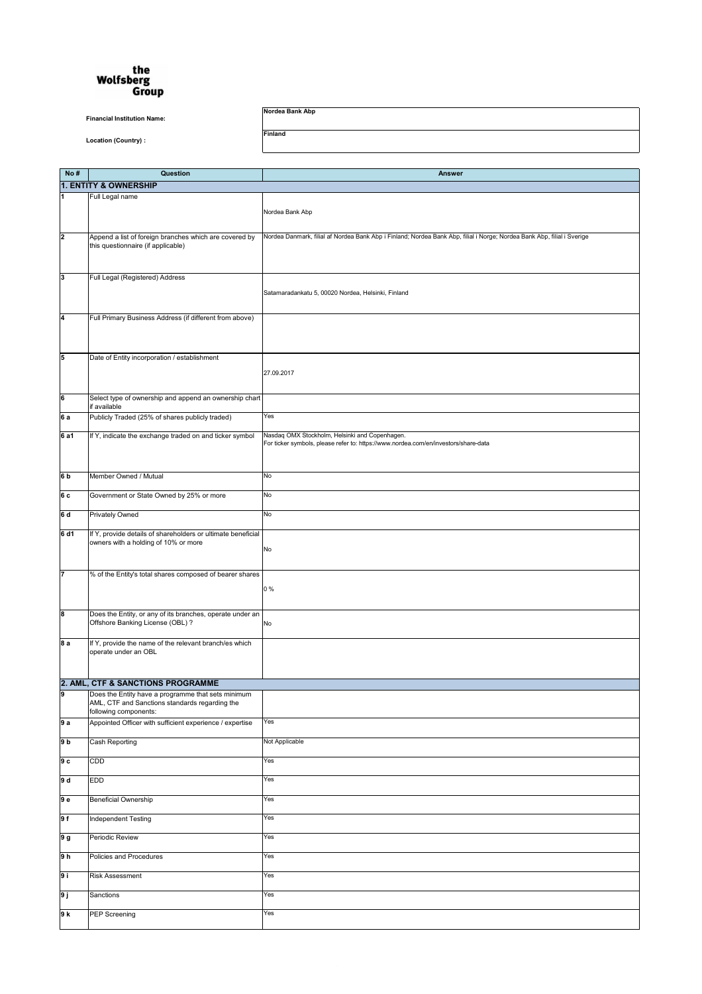## the<br>Wolfsberg<br>Group

**Financial Institution Name:** 

**No # Question Answer 1. ENTITY & OWNERSHIP 1** Full Legal name Nordea Bank Abp **2 Append a list of foreign branches which are covered by** this questionnaire (if applicable) Nordea Danmark, filial af Nordea Bank Abp i Finland; Nordea Bank Abp, filial i Norge; Nordea Bank Abp, filial i Sverige **3** Full Legal (Registered) Address Satamaradankatu 5, 00020 Nordea, Helsinki, Finland **4** Full Primary Business Address (if different from above) **5 Date of Entity incorporation / establishment** 27.09.2017 **6** Select type of ownership and append an ownership chart if available **6 a** Publicly Traded (25% of shares publicly traded) Yes **6 a1** If Y, indicate the exchange traded on and ticker symbol [Nasdaq OMX Stockholm, Helsinki and Copen](http://www.nordea.com/en/investors/share-data)hagen. For ticker symbols, please refer to: https://www.nordea.com/en/investors/share[-data](http://www.nordea.com/en/investors/share-data)  **6 b Member Owned / Mutual No 6 c** Government or State Owned by 25% or more No

**Location (Country) :** 

**Nordea Bank Abp** 

**Finland** 

| 6 d            | <b>Privately Owned</b>                                                                                                        | No             |
|----------------|-------------------------------------------------------------------------------------------------------------------------------|----------------|
| 6 d1           | If Y, provide details of shareholders or ultimate beneficial<br>owners with a holding of 10% or more                          | No             |
| 17             | % of the Entity's total shares composed of bearer shares                                                                      | 0 %            |
| 8              | Does the Entity, or any of its branches, operate under an<br>Offshore Banking License (OBL) ?                                 | No             |
| 8a             | If Y, provide the name of the relevant branch/es which<br>operate under an OBL                                                |                |
|                | 2. AML, CTF & SANCTIONS PROGRAMME                                                                                             |                |
| 9              | Does the Entity have a programme that sets minimum<br>AML, CTF and Sanctions standards regarding the<br>following components: |                |
| 9a             | Appointed Officer with sufficient experience / expertise                                                                      | Yes            |
| 9 <sub>b</sub> | Cash Reporting                                                                                                                | Not Applicable |
| 9 <sub>c</sub> | <b>CDD</b>                                                                                                                    | Yes            |
| 9d             | <b>EDD</b>                                                                                                                    | Yes            |
| 9e             | <b>Beneficial Ownership</b>                                                                                                   | Yes            |
| 9f             | Independent Testing                                                                                                           | Yes            |
| 9 g            | Periodic Review                                                                                                               | Yes            |
| 9 <sub>h</sub> | Policies and Procedures                                                                                                       | Yes            |
| 9i             | <b>Risk Assessment</b>                                                                                                        | Yes            |
| 9j             | Sanctions                                                                                                                     | Yes            |
| 9k             | <b>PEP Screening</b>                                                                                                          | Yes            |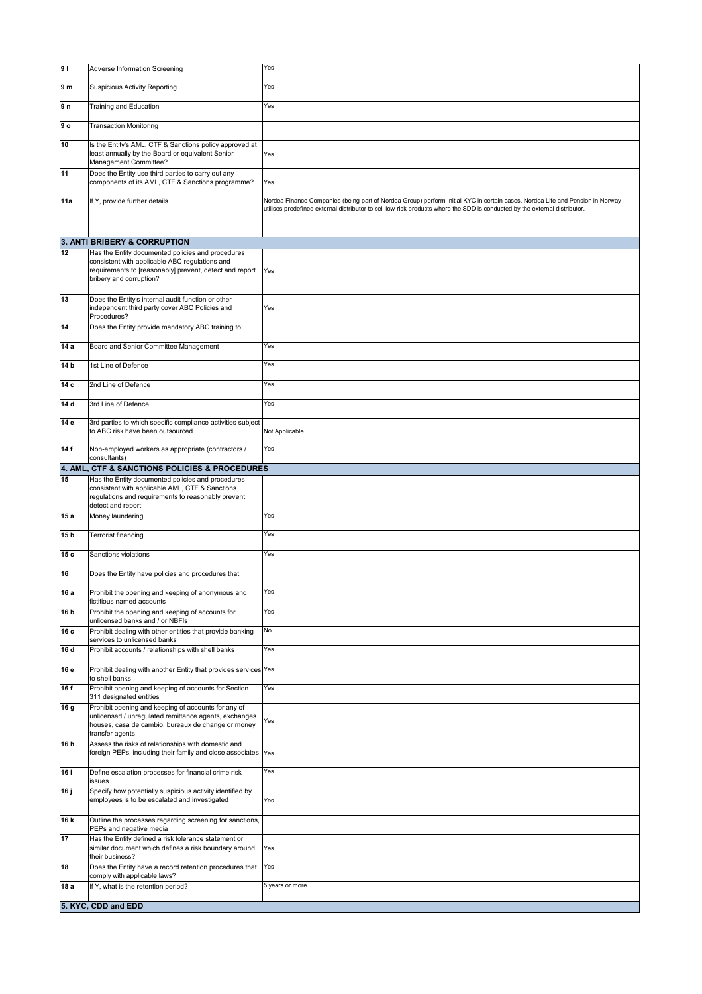| 9               | <b>Adverse Information Screening</b>                                                                                                                                                  | Yes                                                                                                                                                                                                                                                         |
|-----------------|---------------------------------------------------------------------------------------------------------------------------------------------------------------------------------------|-------------------------------------------------------------------------------------------------------------------------------------------------------------------------------------------------------------------------------------------------------------|
| 9 m             | Suspicious Activity Reporting                                                                                                                                                         | Yes                                                                                                                                                                                                                                                         |
| 9n              | <b>Training and Education</b>                                                                                                                                                         | Yes                                                                                                                                                                                                                                                         |
| $ 9 \circ$      | <b>Transaction Monitoring</b>                                                                                                                                                         |                                                                                                                                                                                                                                                             |
| 10              | Is the Entity's AML, CTF & Sanctions policy approved at<br>least annually by the Board or equivalent Senior<br>Management Committee?                                                  | Yes                                                                                                                                                                                                                                                         |
| 11              | Does the Entity use third parties to carry out any<br>components of its AML, CTF & Sanctions programme?                                                                               | Yes                                                                                                                                                                                                                                                         |
| 11a             | If Y, provide further details                                                                                                                                                         | Nordea Finance Companies (being part of Nordea Group) perform initial KYC in certain cases. Nordea Life and Pension in Norway<br>utilises predefined external distributor to sell low risk products where the SDD is conducted by the external distributor. |
|                 |                                                                                                                                                                                       |                                                                                                                                                                                                                                                             |
| 12              | 3. ANTI BRIBERY & CORRUPTION<br>Has the Entity documented policies and procedures                                                                                                     |                                                                                                                                                                                                                                                             |
|                 | consistent with applicable ABC regulations and<br>requirements to [reasonably] prevent, detect and report<br>bribery and corruption?                                                  | Yes                                                                                                                                                                                                                                                         |
| 13              | Does the Entity's internal audit function or other<br>independent third party cover ABC Policies and<br>Procedures?                                                                   | Yes                                                                                                                                                                                                                                                         |
| 14              | Does the Entity provide mandatory ABC training to:                                                                                                                                    |                                                                                                                                                                                                                                                             |
| 14 a            | Board and Senior Committee Management                                                                                                                                                 | Yes                                                                                                                                                                                                                                                         |
| 14 <sub>b</sub> | 1st Line of Defence                                                                                                                                                                   | Yes                                                                                                                                                                                                                                                         |
| 14 c            | 2nd Line of Defence                                                                                                                                                                   | Yes                                                                                                                                                                                                                                                         |
| 14 d            | 3rd Line of Defence                                                                                                                                                                   | Yes                                                                                                                                                                                                                                                         |
| 14 e            | 3rd parties to which specific compliance activities subject<br>to ABC risk have been outsourced                                                                                       | Not Applicable                                                                                                                                                                                                                                              |
| 14f             | Non-employed workers as appropriate (contractors /<br>consultants)                                                                                                                    | Yes                                                                                                                                                                                                                                                         |
| 15              | 4. AML, CTF & SANCTIONS POLICIES & PROCEDURES<br>Has the Entity documented policies and procedures                                                                                    |                                                                                                                                                                                                                                                             |
|                 | consistent with applicable AML, CTF & Sanctions<br>regulations and requirements to reasonably prevent,<br>detect and report:                                                          |                                                                                                                                                                                                                                                             |
| 15 a            | Money laundering                                                                                                                                                                      | Yes                                                                                                                                                                                                                                                         |
| 15 <sub>b</sub> | <b>Terrorist financing</b>                                                                                                                                                            | Yes                                                                                                                                                                                                                                                         |
| 15 с            | Sanctions violations                                                                                                                                                                  | Yes                                                                                                                                                                                                                                                         |
| 16              | Does the Entity have policies and procedures that:                                                                                                                                    |                                                                                                                                                                                                                                                             |
| 16 a            | Prohibit the opening and keeping of anonymous and<br>Ifictitious named accounts                                                                                                       | Yes                                                                                                                                                                                                                                                         |
| 16 b            | Prohibit the opening and keeping of accounts for<br>unlicensed banks and / or NBFIs                                                                                                   | Yes                                                                                                                                                                                                                                                         |
| 16 с            | Prohibit dealing with other entities that provide banking<br>services to unlicensed banks                                                                                             | No                                                                                                                                                                                                                                                          |
| 16 d            | Prohibit accounts / relationships with shell banks                                                                                                                                    | Yes                                                                                                                                                                                                                                                         |
| 16 e            | Prohibit dealing with another Entity that provides services Yes<br>to shell banks                                                                                                     |                                                                                                                                                                                                                                                             |
| 16 f            | Prohibit opening and keeping of accounts for Section<br>311 designated entities                                                                                                       | Yes                                                                                                                                                                                                                                                         |
| 16 g            | Prohibit opening and keeping of accounts for any of<br>unlicensed / unregulated remittance agents, exchanges<br>houses, casa de cambio, bureaux de change or money<br>transfer agents | Yes                                                                                                                                                                                                                                                         |
| 16 h            | Assess the risks of relationships with domestic and<br>foreign PEPs, including their family and close associates  Yes                                                                 |                                                                                                                                                                                                                                                             |
| 16 i            | Define escalation processes for financial crime risk<br><b>issues</b>                                                                                                                 | Yes                                                                                                                                                                                                                                                         |
| 16j             | Specify how potentially suspicious activity identified by<br>employees is to be escalated and investigated                                                                            | Yes                                                                                                                                                                                                                                                         |
| <b>16 k</b>     | Outline the processes regarding screening for sanctions,<br>PEPs and negative media                                                                                                   |                                                                                                                                                                                                                                                             |
| 17              | Has the Entity defined a risk tolerance statement or<br>similar document which defines a risk boundary around<br>their business?                                                      | Yes                                                                                                                                                                                                                                                         |
| 18              | Does the Entity have a record retention procedures that                                                                                                                               | Yes                                                                                                                                                                                                                                                         |
| 18 a            | comply with applicable laws?<br>If Y, what is the retention period?                                                                                                                   | 5 years or more                                                                                                                                                                                                                                             |
|                 | 5. KYC, CDD and EDD                                                                                                                                                                   |                                                                                                                                                                                                                                                             |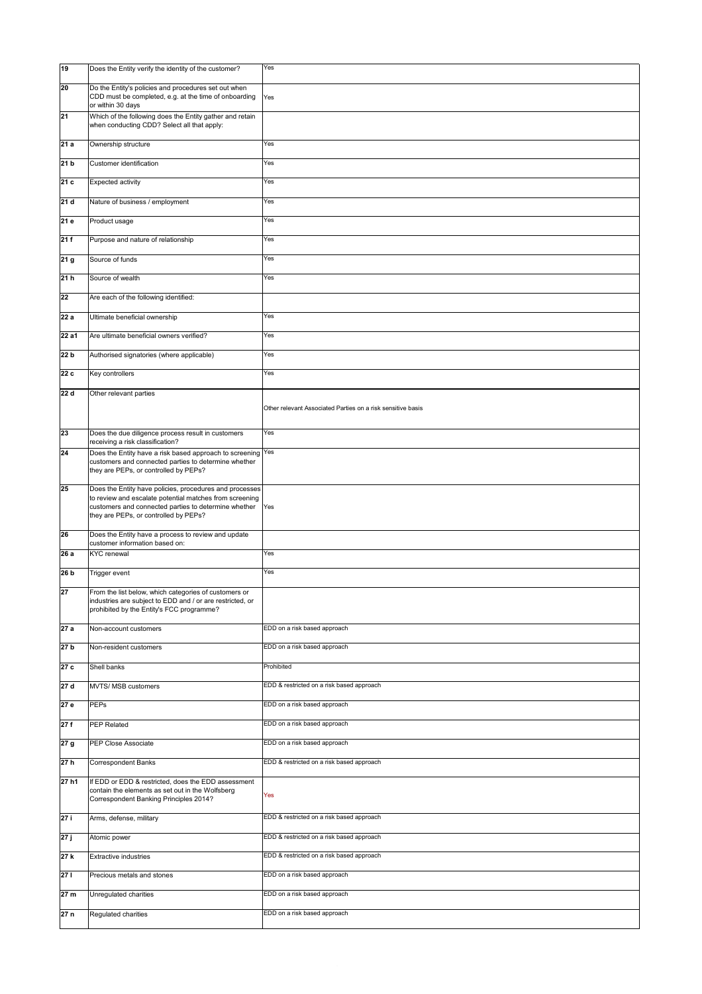| 19              | Does the Entity verify the identity of the customer?                                                                                                                                                                | Yes                                                         |
|-----------------|---------------------------------------------------------------------------------------------------------------------------------------------------------------------------------------------------------------------|-------------------------------------------------------------|
| 20              | Do the Entity's policies and procedures set out when<br>CDD must be completed, e.g. at the time of onboarding<br>or within 30 days                                                                                  | Yes                                                         |
| 21              | Which of the following does the Entity gather and retain<br>when conducting CDD? Select all that apply:                                                                                                             |                                                             |
| 21a             | Ownership structure                                                                                                                                                                                                 | Yes                                                         |
| 21 <sub>b</sub> | Customer identification                                                                                                                                                                                             | Yes                                                         |
| 21c             | Expected activity                                                                                                                                                                                                   | Yes                                                         |
| 21 d            | Nature of business / employment                                                                                                                                                                                     | Yes                                                         |
| 21e             | <b>Product usage</b>                                                                                                                                                                                                | Yes                                                         |
| 21f             | Purpose and nature of relationship                                                                                                                                                                                  | Yes                                                         |
| 21 g            | Source of funds                                                                                                                                                                                                     | Yes                                                         |
| 21h             | Source of wealth                                                                                                                                                                                                    | Yes                                                         |
| 22              | Are each of the following identified:                                                                                                                                                                               |                                                             |
| 22 a            | Ultimate beneficial ownership                                                                                                                                                                                       | Yes                                                         |
| 22 a1           | Are ultimate beneficial owners verified?                                                                                                                                                                            | Yes                                                         |
| 22 b            | Authorised signatories (where applicable)                                                                                                                                                                           | Yes                                                         |
| 22c             | Key controllers                                                                                                                                                                                                     | Yes                                                         |
| 22 d            | Other relevant parties                                                                                                                                                                                              | Other relevant Associated Parties on a risk sensitive basis |
| 23              | Does the due diligence process result in customers<br>receiving a risk classification?                                                                                                                              | Yes                                                         |
| 24              | Does the Entity have a risk based approach to screening Yes<br>customers and connected parties to determine whether<br>they are PEPs, or controlled by PEPs?                                                        |                                                             |
| 25              | Does the Entity have policies, procedures and processes<br>to review and escalate potential matches from screening<br>customers and connected parties to determine whether<br>they are PEPs, or controlled by PEPs? | Yes                                                         |
| 26              | Does the Entity have a process to review and update<br>customer information based on:                                                                                                                               |                                                             |
| 26a             | <b>KYC</b> renewal                                                                                                                                                                                                  | Yes                                                         |
| 26 <sub>b</sub> | Trigger event                                                                                                                                                                                                       | Yes                                                         |
| 27              | From the list below, which categories of customers or<br>industries are subject to EDD and / or are restricted, or<br>prohibited by the Entity's FCC programme?                                                     |                                                             |
| 27 a            | Non-account customers                                                                                                                                                                                               | <b>EDD</b> on a risk based approach                         |
| 27 <sub>b</sub> | Non-resident customers                                                                                                                                                                                              | EDD on a risk based approach                                |
| 27c             | <b>Shell banks</b>                                                                                                                                                                                                  | Prohibited                                                  |
| 27d             | <b>MVTS/ MSB customers</b>                                                                                                                                                                                          | EDD & restricted on a risk based approach                   |
| 27e             | <b>PEPs</b>                                                                                                                                                                                                         | EDD on a risk based approach                                |
| 27f             | <b>PEP Related</b>                                                                                                                                                                                                  | EDD on a risk based approach                                |
| 27 g            | <b>PEP Close Associate</b>                                                                                                                                                                                          | <b>EDD</b> on a risk based approach                         |
| 27h             | Correspondent Banks                                                                                                                                                                                                 | EDD & restricted on a risk based approach                   |
| 27 h1           | If EDD or EDD & restricted, does the EDD assessment<br>contain the elements as set out in the Wolfsberg<br>Correspondent Banking Principles 2014?                                                                   | Yes                                                         |
| 27 i            | Arms, defense, military                                                                                                                                                                                             | EDD & restricted on a risk based approach                   |
| 27j             | Atomic power                                                                                                                                                                                                        | EDD & restricted on a risk based approach                   |
| 27k             | <b>Extractive industries</b>                                                                                                                                                                                        | EDD & restricted on a risk based approach                   |
| 271             | Precious metals and stones                                                                                                                                                                                          | EDD on a risk based approach                                |
| 27 m            | Unregulated charities                                                                                                                                                                                               | EDD on a risk based approach                                |
| 27 <sub>n</sub> | Regulated charities                                                                                                                                                                                                 | EDD on a risk based approach                                |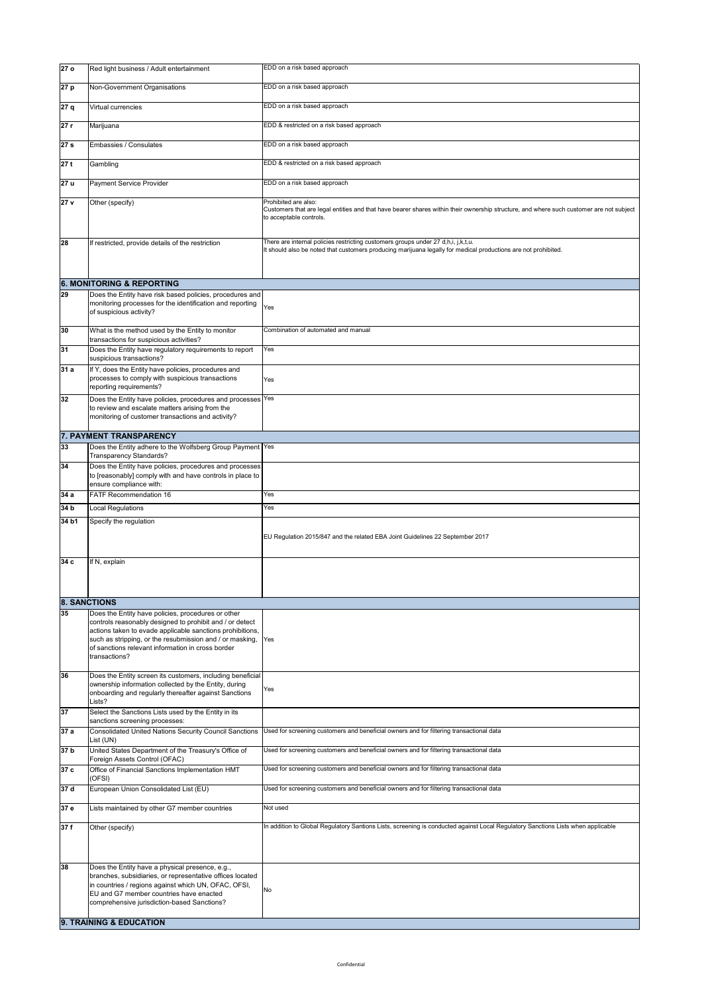| 27 <sub>o</sub> | Red light business / Adult entertainment                                                                                                                            | EDD on a risk based approach                                                                                                                                                                        |
|-----------------|---------------------------------------------------------------------------------------------------------------------------------------------------------------------|-----------------------------------------------------------------------------------------------------------------------------------------------------------------------------------------------------|
| 27 p            | Non-Government Organisations                                                                                                                                        | EDD on a risk based approach                                                                                                                                                                        |
| 27 q            | <b>Virtual currencies</b>                                                                                                                                           | EDD on a risk based approach                                                                                                                                                                        |
| 27 r            | Marijuana                                                                                                                                                           | EDD & restricted on a risk based approach                                                                                                                                                           |
| 27 <sub>s</sub> | Embassies / Consulates                                                                                                                                              | EDD on a risk based approach                                                                                                                                                                        |
| 27t             | Gambling                                                                                                                                                            | EDD & restricted on a risk based approach                                                                                                                                                           |
| 27 u            | <b>Payment Service Provider</b>                                                                                                                                     | EDD on a risk based approach                                                                                                                                                                        |
| 27 <sub>v</sub> | Other (specify)                                                                                                                                                     | Prohibited are also:<br>Customers that are legal entities and that have bearer shares within their ownership structure, and where such customer are not subject<br>to acceptable controls.          |
| 28              | If restricted, provide details of the restriction                                                                                                                   | There are internal policies restricting customers groups under 27 d,h,i, j,k,t,u.<br>It should also be noted that customers producing marijuana legally for medical productions are not prohibited. |
|                 | <b>6. MONITORING &amp; REPORTING</b>                                                                                                                                |                                                                                                                                                                                                     |
| 29              | Does the Entity have risk based policies, procedures and<br>monitoring processes for the identification and reporting<br>of suspicious activity?                    | Yes                                                                                                                                                                                                 |
| 30              | What is the method used by the Entity to monitor<br>transactions for suspicious activities?                                                                         | Combination of automated and manual                                                                                                                                                                 |
| 31              | Does the Entity have regulatory requirements to report<br>suspicious transactions?                                                                                  | Yes                                                                                                                                                                                                 |
| 31a             | If Y, does the Entity have policies, procedures and<br>processes to comply with suspicious transactions<br>reporting requirements?                                  | Yes                                                                                                                                                                                                 |
| 32              | Does the Entity have policies, procedures and processes Yes<br>to review and escalate matters arising from the<br>monitoring of customer transactions and activity? |                                                                                                                                                                                                     |
|                 | 7. PAYMENT TRANSPARENCY                                                                                                                                             |                                                                                                                                                                                                     |
| 33              | Does the Entity adhere to the Wolfsberg Group Payment   Yes<br><b>Transparency Standards?</b>                                                                       |                                                                                                                                                                                                     |
| 34              | Does the Entity have policies, procedures and processes<br>to [reasonably] comply with and have controls in place to<br>ensure compliance with:                     |                                                                                                                                                                                                     |
| 34a             | <b>FATF Recommendation 16</b>                                                                                                                                       | Yes                                                                                                                                                                                                 |
|                 |                                                                                                                                                                     |                                                                                                                                                                                                     |

| 34 <sub>b</sub> | Local Regulations                                                                                                                                                                                                                                                                                             | Yes                                                                                                                              |
|-----------------|---------------------------------------------------------------------------------------------------------------------------------------------------------------------------------------------------------------------------------------------------------------------------------------------------------------|----------------------------------------------------------------------------------------------------------------------------------|
| 34 b1           | Specify the regulation                                                                                                                                                                                                                                                                                        | EU Regulation 2015/847 and the related EBA Joint Guidelines 22 September 2017                                                    |
| 34 <sub>c</sub> | If N, explain                                                                                                                                                                                                                                                                                                 |                                                                                                                                  |
|                 | <b>8. SANCTIONS</b>                                                                                                                                                                                                                                                                                           |                                                                                                                                  |
| 35              | Does the Entity have policies, procedures or other<br>controls reasonably designed to prohibit and / or detect<br>actions taken to evade applicable sanctions prohibitions,<br>such as stripping, or the resubmission and / or masking,<br>of sanctions relevant information in cross border<br>transactions? | Yes                                                                                                                              |
| 36              | Does the Entity screen its customers, including beneficial<br>ownership information collected by the Entity, during<br>onboarding and regularly thereafter against Sanctions<br>Lists?                                                                                                                        | Yes                                                                                                                              |
| 37              | Select the Sanctions Lists used by the Entity in its<br>sanctions screening processes:                                                                                                                                                                                                                        |                                                                                                                                  |
| 37a             | Consolidated United Nations Security Council Sanctions<br>List (UN)                                                                                                                                                                                                                                           | Used for screening customers and beneficial owners and for filtering transactional data                                          |
| 37 <sub>b</sub> | United States Department of the Treasury's Office of<br>Foreign Assets Control (OFAC)                                                                                                                                                                                                                         | Used for screening customers and beneficial owners and for filtering transactional data                                          |
| 37c             | Office of Financial Sanctions Implementation HMT<br>$ $ (OFSI)                                                                                                                                                                                                                                                | Used for screening customers and beneficial owners and for filtering transactional data                                          |
| 37 <sub>d</sub> | European Union Consolidated List (EU)                                                                                                                                                                                                                                                                         | Used for screening customers and beneficial owners and for filtering transactional data                                          |
| 37 e            | Lists maintained by other G7 member countries                                                                                                                                                                                                                                                                 | Not used                                                                                                                         |
| 37f             | Other (specify)                                                                                                                                                                                                                                                                                               | In addition to Global Regulatory Santions Lists, screening is conducted against Local Regulatory Sanctions Lists when applicable |
| 38              | Does the Entity have a physical presence, e.g.,<br>branches, subsidiaries, or representative offices located<br>in countries / regions against which UN, OFAC, OFSI,<br><b>IEU and G7 member countries have enacted</b><br>comprehensive jurisdiction-based Sanctions?<br>9. TRAINING & EDUCATION             | No                                                                                                                               |